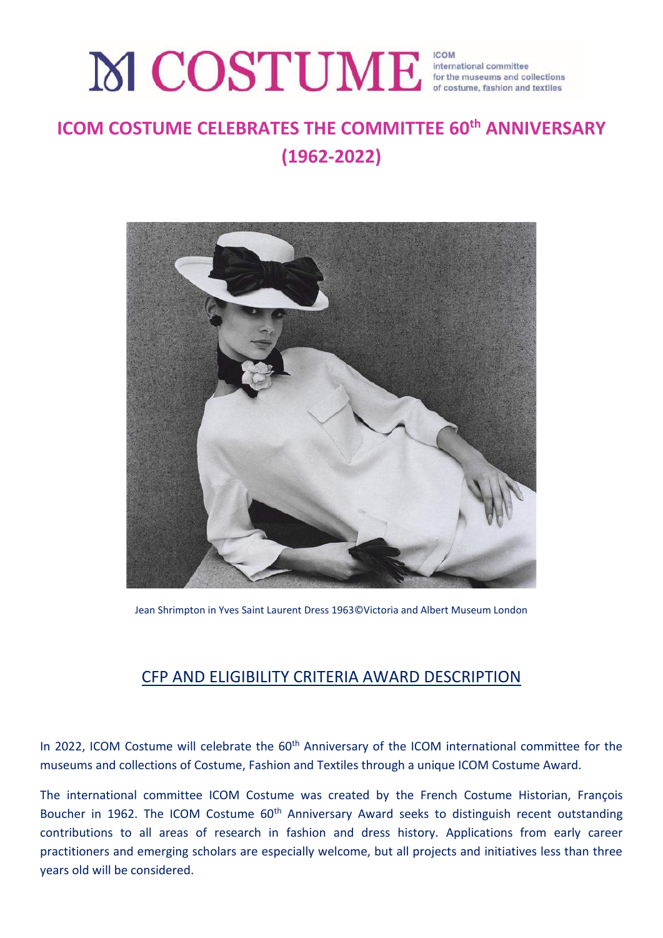# MCOSTUME for the museums and collections

## **ICOM COSTUME CELEBRATES THE COMMITTEE 60th ANNIVERSARY (1962-2022)**



Jean Shrimpton in Yves Saint Laurent Dress 1963©Victoria and Albert Museum London

### CFP AND ELIGIBILITY CRITERIA AWARD DESCRIPTION

In 2022, ICOM Costume will celebrate the 60<sup>th</sup> Anniversary of the ICOM international committee for the museums and collections of Costume, Fashion and Textiles through a unique ICOM Costume Award.

The international committee ICOM Costume was created by the French Costume Historian, François Boucher in 1962. The ICOM Costume 60<sup>th</sup> Anniversary Award seeks to distinguish recent outstanding contributions to all areas of research in fashion and dress history. Applications from early career practitioners and emerging scholars are especially welcome, but all projects and initiatives less than three years old will be considered.